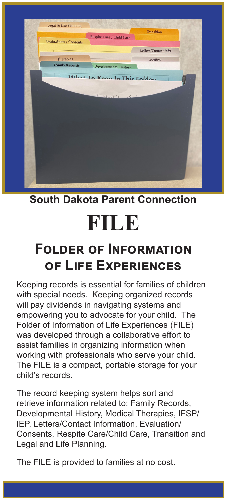

**South Dakota Parent Connection**

## **FILE**

## **Folder of Information of Life Experiences**

Keeping records is essential for families of children with special needs. Keeping organized records will pay dividends in navigating systems and empowering you to advocate for your child. The Folder of Information of Life Experiences (FILE) was developed through a collaborative effort to assist families in organizing information when working with professionals who serve your child. The FILE is a compact, portable storage for your child's records.

The record keeping system helps sort and retrieve information related to: Family Records, Developmental History, Medical Therapies, IFSP/ IEP, Letters/Contact Information, Evaluation/ Consents, Respite Care/Child Care, Transition and Legal and Life Planning.

The FILE is provided to families at no cost.